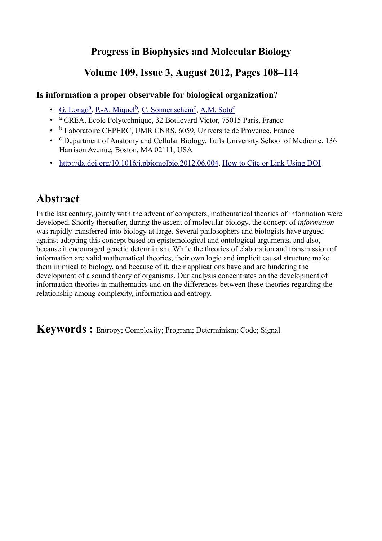## **[Progress in Biophysics and Molecular Biology](http://www.sciencedirect.com/science/journal/00796107)**

## **Volume 109, Issue 3, August 2012, Pages 108–114**

### **Is information a proper observable for biological organization?**

- • [G. Longo](http://www.sciencedirect.com/science/article/pii/S0079610712000454#)<sup>a</sup>, [P.-A. Miquel](http://www.sciencedirect.com/science/article/pii/S0079610712000454#)<sup>b</sup>, [C. Sonnenschein](http://www.sciencedirect.com/science/article/pii/S0079610712000454#)<sup>c</sup>, [A.M. Soto](http://www.sciencedirect.com/science/article/pii/S0079610712000454#)<sup>[c](http://www.sciencedirect.com/science/article/pii/S0079610712000454#aff3)</sup>
- a CREA, Ecole Polytechnique, 32 Boulevard Victor, 75015 Paris, France
- b Laboratoire CEPERC, UMR CNRS, 6059, Université de Provence, France
- c Department of Anatomy and Cellular Biology, Tufts University School of Medicine, 136 Harrison Avenue, Boston, MA 02111, USA
- • [http://dx.doi.org/10.1016/j.pbiomolbio.2012.06.004,](http://dx.doi.org/10.1016/j.pbiomolbio.2012.06.004) [How to Cite or Link Using DOI](http://www.sciencedirect.com/science/help/doi.htm)

# **Abstract**

In the last century, jointly with the advent of computers, mathematical theories of information were developed. Shortly thereafter, during the ascent of molecular biology, the concept of *information* was rapidly transferred into biology at large. Several philosophers and biologists have argued against adopting this concept based on epistemological and ontological arguments, and also, because it encouraged genetic determinism. While the theories of elaboration and transmission of information are valid mathematical theories, their own logic and implicit causal structure make them inimical to biology, and because of it, their applications have and are hindering the development of a sound theory of organisms. Our analysis concentrates on the development of information theories in mathematics and on the differences between these theories regarding the relationship among complexity, information and entropy.

**Keywords :** Entropy; Complexity; Program; Determinism; Code; Signal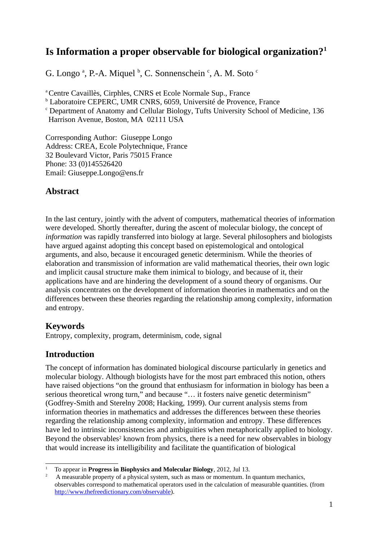## **Is Information a proper observable for biological organization?[1](#page-1-0)**

G. Longo<sup>a</sup>, P.-A. Miquel <sup>b</sup>, C. Sonnenschein <sup>c</sup>, A. M. Soto <sup>c</sup>

<sup>a</sup> Centre Cavaillès, Cirphles, CNRS et Ecole Normale Sup., France

<sup>b</sup> Laboratoire CEPERC, UMR CNRS, 6059, Université de Provence, France

<sup>c</sup> Department of Anatomy and Cellular Biology, Tufts University School of Medicine, 136

Harrison Avenue, Boston, MA 02111 USA

Corresponding Author: Giuseppe Longo Address: CREA, Ecole Polytechnique, France 32 Boulevard Victor, Paris 75015 France Phone: 33 (0)145526420 Email: Giuseppe.Longo@ens.fr

## **Abstract**

In the last century, jointly with the advent of computers, mathematical theories of information were developed. Shortly thereafter, during the ascent of molecular biology, the concept of *information* was rapidly transferred into biology at large. Several philosophers and biologists have argued against adopting this concept based on epistemological and ontological arguments, and also, because it encouraged genetic determinism. While the theories of elaboration and transmission of information are valid mathematical theories, their own logic and implicit causal structure make them inimical to biology, and because of it, their applications have and are hindering the development of a sound theory of organisms. Our analysis concentrates on the development of information theories in mathematics and on the differences between these theories regarding the relationship among complexity, information and entropy.

### **Keywords**

Entropy, complexity, program, determinism, code, signal

## **Introduction**

The concept of information has dominated biological discourse particularly in genetics and molecular biology. Although biologists have for the most part embraced this notion, others have raised objections "on the ground that enthusiasm for information in biology has been a serious theoretical wrong turn," and because "… it fosters naive genetic determinism" (Godfrey-Smith and Sterelny 2008; Hacking, 1999). Our current analysis stems from information theories in mathematics and addresses the differences between these theories regarding the relationship among complexity, information and entropy. These differences have led to intrinsic inconsistencies and ambiguities when metaphorically applied to biology. Beyond the observables<sup>[2](#page-1-1)</sup> known from physics, there is a need for new observables in biology that would increase its intelligibility and facilitate the quantification of biological

<span id="page-1-0"></span><sup>1</sup> To appear in **Progress in Biophysics and Molecular Biology**, 2012, Jul 13.

<span id="page-1-1"></span><sup>2</sup> A measurable property of a physical system, such as mass or momentum. In quantum mechanics, observables correspond to mathematical operators used in the calculation of measurable quantities. (from [http://www.thefreedictionary.com/observable\)](https://exchange.tufts.edu/owa/redir.aspx?C=aa72c6110d824a8a990757c1452a2702&URL=http%3A%2F%2Fwww.thefreedictionary.com%2Fobservable).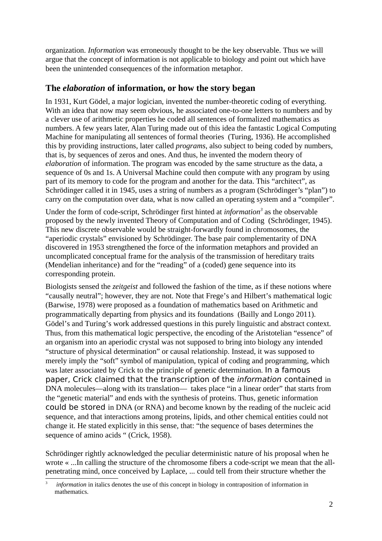organization. *Information* was erroneously thought to be the key observable. Thus we will argue that the concept of information is not applicable to biology and point out which have been the unintended consequences of the information metaphor.

### **The** *elaboration* **of information, or how the story began**

In 1931, Kurt Gödel, a major logician, invented the number-theoretic coding of everything. With an idea that now may seem obvious, he associated one-to-one letters to numbers and by a clever use of arithmetic properties he coded all sentences of formalized mathematics as numbers. A few years later, Alan Turing made out of this idea the fantastic Logical Computing Machine for manipulating all sentences of formal theories (Turing, 1936). He accomplished this by providing instructions, later called *programs*, also subject to being coded by numbers, that is, by sequences of zeros and ones. And thus, he invented the modern theory of *elaboration* of information. The program was encoded by the same structure as the data, a sequence of 0s and 1s. A Universal Machine could then compute with any program by using part of its memory to code for the program and another for the data. This "architect", as Schrödinger called it in 1945, uses a string of numbers as a program (Schrödinger's "plan") to carry on the computation over data, what is now called an operating system and a "compiler".

Under the form of code-script, Schrödinger first hinted at *information*<sup>[3](#page-2-0)</sup> as the observable proposed by the newly invented Theory of Computation and of Coding (Schrödinger, 1945). This new discrete observable would be straight-forwardly found in chromosomes, the "aperiodic crystals" envisioned by Schrödinger. The base pair complementarity of DNA discovered in 1953 strengthened the force of the information metaphors and provided an uncomplicated conceptual frame for the analysis of the transmission of hereditary traits (Mendelian inheritance) and for the "reading" of a (coded) gene sequence into its corresponding protein.

Biologists sensed the *zeitgeist* and followed the fashion of the time, as if these notions where "causally neutral"; however, they are not. Note that Frege's and Hilbert's mathematical logic (Barwise, 1978) were proposed as a foundation of mathematics based on Arithmetic and programmatically departing from physics and its foundations (Bailly and Longo 2011). Gödel's and Turing's work addressed questions in this purely linguistic and abstract context. Thus, from this mathematical logic perspective, the encoding of the Aristotelian "essence" of an organism into an aperiodic crystal was not supposed to bring into biology any intended "structure of physical determination" or causal relationship. Instead, it was supposed to merely imply the "soft" symbol of manipulation, typical of coding and programming, which was later associated by Crick to the principle of genetic determination. In a famous paper, Crick claimed that the transcription of the information contained in DNA molecules—along with its translation— takes place "in a linear order" that starts from the "genetic material" and ends with the synthesis of proteins. Thus, genetic information could be stored in DNA (or RNA) and become known by the reading of the nucleic acid sequence, and that interactions among proteins, lipids, and other chemical entities could not change it. He stated explicitly in this sense, that: "the sequence of bases determines the sequence of amino acids " (Crick, 1958).

Schrödinger rightly acknowledged the peculiar deterministic nature of his proposal when he wrote « ...In calling the structure of the chromosome fibers a code-script we mean that the allpenetrating mind, once conceived by Laplace, ... could tell from their structure whether the

<span id="page-2-0"></span><sup>3</sup> *information* in italics denotes the use of this concept in biology in contraposition of information in mathematics.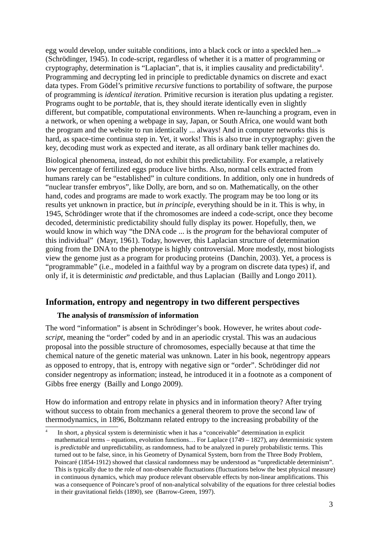egg would develop, under suitable conditions, into a black cock or into a speckled hen...» (Schrödinger, 1945). In code-script, regardless of whether it is a matter of programming or cryptography, determination is "Laplacian", that is, it implies causality and predictability<sup>[4](#page-3-0)</sup>. Programming and decrypting led in principle to predictable dynamics on discrete and exact data types. From Gödel's primitive *recursive* functions to portability of software, the purpose of programming is *identical iteration.* Primitive recursion is iteration plus updating a register. Programs ought to be *portable*, that is, they should iterate identically even in slightly different, but compatible, computational environments. When re-launching a program, even in a network, or when opening a webpage in say, Japan, or South Africa, one would want both the program and the website to run identically ... always! And in computer networks this is hard, as space-time continua step in. Yet, it works! This is also true in cryptography: given the key, decoding must work as expected and iterate, as all ordinary bank teller machines do.

Biological phenomena, instead, do not exhibit this predictability. For example, a relatively low percentage of fertilized eggs produce live births. Also, normal cells extracted from humans rarely can be "established" in culture conditions. In addition, only one in hundreds of "nuclear transfer embryos", like Dolly, are born, and so on. Mathematically, on the other hand, codes and programs are made to work exactly. The program may be too long or its results yet unknown in practice, but *in principle*, everything should be in it. This is why, in 1945, Schrödinger wrote that if the chromosomes are indeed a code-script, once they become decoded, deterministic predictability should fully display its power. Hopefully, then, we would know in which way "the DNA code ... is the *program* for the behavioral computer of this individual" (Mayr, 1961). Today, however, this Laplacian structure of determination going from the DNA to the phenotype is highly controversial. More modestly, most biologists view the genome just as a program for producing proteins (Danchin, 2003). Yet, a process is "programmable" (i.e., modeled in a faithful way by a program on discrete data types) if, and only if, it is deterministic *and* predictable, and thus Laplacian (Bailly and Longo 2011).

#### **Information, entropy and negentropy in two different perspectives**

#### **The analysis of** *transmission* **of information**

The word "information" is absent in Schrödinger's book. However, he writes about *codescript*, meaning the "order" coded by and in an aperiodic crystal. This was an audacious proposal into the possible structure of chromosomes, especially because at that time the chemical nature of the genetic material was unknown. Later in his book, negentropy appears as opposed to entropy, that is, entropy with negative sign or "order". Schrödinger did *not* consider negentropy as information; instead, he introduced it in a footnote as a component of Gibbs free energy (Bailly and Longo 2009).

How do information and entropy relate in physics and in information theory? After trying without success to obtain from mechanics a general theorem to prove the second law of thermodynamics, in 1896, Boltzmann related entropy to the increasing probability of the

<span id="page-3-0"></span><sup>4</sup> In short, a physical system is deterministic when it has a "conceivable" determination in explicit mathematical terms – equations, evolution functions… For Laplace (1749 – 1827), any deterministic system is *predictable* and unpredictability, as randomness, had to be analyzed in purely probabilistic terms. This turned out to be false, since, in his Geometry of Dynamical System, born from the Three Body Problem, Poincaré (1854-1912) showed that classical randomness may be understood as "unpredictable determinism". This is typically due to the role of non-observable fluctuations (fluctuations below the best physical measure) in continuous dynamics, which may produce relevant observable effects by non-linear amplifications. This was a consequence of Poincare's proof of non-analytical solvability of the equations for three celestial bodies in their gravitational fields (1890), see (Barrow-Green, 1997).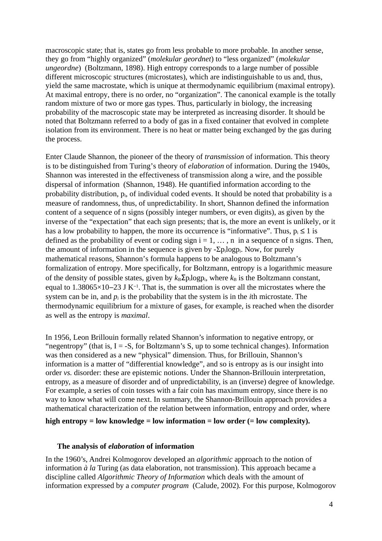macroscopic state; that is, states go from less probable to more probable. In another sense, they go from "highly organized" (*molekular geordnet*) to "less organized" (*molekular ungeordne*) (Boltzmann, 1898). High entropy corresponds to a large number of possible different microscopic structures (microstates), which are indistinguishable to us and, thus, yield the same macrostate, which is unique at thermodynamic equilibrium (maximal entropy). At maximal entropy, there is no order, no "organization". The canonical example is the totally random mixture of two or more gas types. Thus, particularly in biology, the increasing probability of the macroscopic state may be interpreted as increasing disorder. It should be noted that Boltzmann referred to a body of gas in a fixed container that evolved in complete isolation from its environment. There is no heat or matter being exchanged by the gas during the process.

Enter Claude Shannon, the pioneer of the theory of *transmission* of information. This theory is to be distinguished from Turing's theory of *elaboration* of information. During the 1940s, Shannon was interested in the effectiveness of transmission along a wire, and the possible dispersal of information (Shannon, 1948). He quantified information according to the probability distribution,  $p_i$ , of individual coded events. It should be noted that probability is a measure of randomness, thus, of unpredictability. In short, Shannon defined the information content of a sequence of n signs (possibly integer numbers, or even digits), as given by the inverse of the "expectation" that each sign presents; that is, the more an event is unlikely, or it has a low probability to happen, the more its occurrence is "informative". Thus,  $p_i \le 1$  is defined as the probability of event or coding sign  $i = 1, \ldots, n$  in a sequence of n signs. Then, the amount of information in the sequence is given by  $-\Sigma p_i \log p_i$ . Now, for purely mathematical reasons, Shannon's formula happens to be analogous to Boltzmann's formalization of entropy. More specifically, for Boltzmann, entropy is a logarithmic measure of the density of possible states, given by  $k_B \Sigma p_i \log p_i$ , where  $k_B$  is the Boltzmann constant, equal to 1.38065×10–23 J K<sup>-1</sup>. That is, the summation is over all the microstates where the system can be in, and  $p_i$  is the probability that the system is in the *i*th microstate. The thermodynamic equilibrium for a mixture of gases, for example, is reached when the disorder as well as the entropy is *maximal*.

In 1956, Leon Brillouin formally related Shannon's information to negative entropy, or "negentropy" (that is,  $I = -S$ , for Boltzmann's S, up to some technical changes). Information was then considered as a new "physical" dimension. Thus, for Brillouin, Shannon's information is a matter of "differential knowledge", and so is entropy as is our insight into order *vs.* disorder: these are epistemic notions. Under the Shannon-Brillouin interpretation, entropy, as a measure of disorder and of unpredictability, is an (inverse) degree of knowledge. For example, a series of coin tosses with a fair coin has maximum entropy, since there is no way to know what will come next. In summary, the Shannon-Brillouin approach provides a mathematical characterization of the relation between information, entropy and order, where

**high entropy = low knowledge = low information = low order (= low complexity).**

#### **The analysis of** *elaboration* **of information**

In the 1960's, Andrei Kolmogorov developed an *algorithmic* approach to the notion of information *à la* Turing (as data elaboration, not transmission). This approach became a discipline called *Algorithmic Theory of Information* which deals with the amount of information expressed by a *computer program* (Calude, 2002)*.* For this purpose, Kolmogorov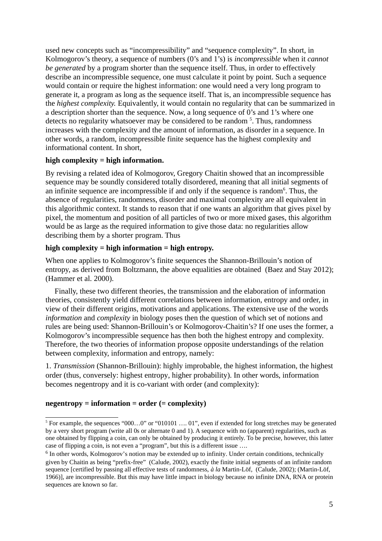used new concepts such as "incompressibility" and "sequence complexity". In short, in Kolmogorov's theory, a sequence of numbers (0's and 1's) is *incompressible* when it *cannot be generated* by a program shorter than the sequence itself. Thus, in order to effectively describe an incompressible sequence, one must calculate it point by point. Such a sequence would contain or require the highest information: one would need a very long program to generate it, a program as long as the sequence itself. That is, an incompressible sequence has the *highest complexity.* Equivalently, it would contain no regularity that can be summarized in a description shorter than the sequence. Now, a long sequence of 0's and 1's where one detects no regularity whatsoever may be considered to be random <sup>[5](#page-5-0)</sup>. Thus, randomness increases with the complexity and the amount of information, as disorder in a sequence. In other words, a random, incompressible finite sequence has the highest complexity and informational content. In short,

#### **high complexity = high information.**

By revising a related idea of Kolmogorov, Gregory Chaitin showed that an incompressible sequence may be soundly considered totally disordered, meaning that all initial segments of an infinite sequence are incompressible if and only if the sequence is random $6$ . Thus, the absence of regularities, randomness, disorder and maximal complexity are all equivalent in this algorithmic context. It stands to reason that if one wants an algorithm that gives pixel by pixel, the momentum and position of all particles of two or more mixed gases, this algorithm would be as large as the required information to give those data: no regularities allow describing them by a shorter program. Thus

#### **high complexity = high information = high entropy.**

When one applies to Kolmogorov's finite sequences the Shannon-Brillouin's notion of entropy, as derived from Boltzmann, the above equalities are obtained (Baez and Stay 2012); (Hammer et al. 2000).

Finally, these two different theories, the transmission and the elaboration of information theories, consistently yield different correlations between information, entropy and order, in view of their different origins, motivations and applications. The extensive use of the words *information* and *complexity* in biology poses then the question of which set of notions and rules are being used: Shannon-Brillouin's or Kolmogorov-Chaitin's? If one uses the former, a Kolmogorov's incompressible sequence has then both the highest entropy and complexity. Therefore, the two theories of information propose opposite understandings of the relation between complexity, information and entropy, namely:

1. *Transmission* (Shannon-Brillouin): highly improbable, the highest information, the highest order (thus, conversely: highest entropy, higher probability). In other words, information becomes negentropy and it is co-variant with order (and complexity):

#### **negentropy = information = order (= complexity)**

<span id="page-5-0"></span><sup>&</sup>lt;sup>5</sup> For example, the sequences "000...0" or "010101 .... 01", even if extended for long stretches may be generated by a very short program (write all 0s or alternate 0 and 1). A sequence with no (apparent) regularities, such as one obtained by flipping a coin, can only be obtained by producing it entirely. To be precise, however, this latter case of flipping a coin, is not even a "program", but this is a different issue ….

<span id="page-5-1"></span><sup>&</sup>lt;sup>6</sup> In other words, Kolmogorov's notion may be extended up to infinity. Under certain conditions, technically given by Chaitin as being "prefix-free" (Calude, 2002), exactly the finite initial segments of an infinite random sequence [certified by passing all effective tests of randomness, *à la* Martin-Löf, (Calude, 2002); (Martin-Löf, 1966)], are incompressible. But this may have little impact in biology because no infinite DNA, RNA or protein sequences are known so far.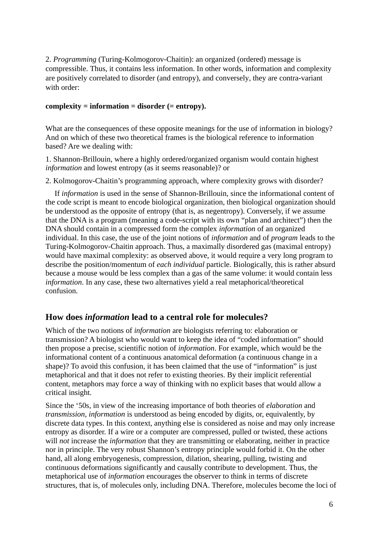2. *Programming* (Turing-Kolmogorov-Chaitin): an organized (ordered) message is compressible. Thus, it contains less information. In other words, information and complexity are positively correlated to disorder (and entropy), and conversely, they are contra-variant with order:

#### **complexity = information = disorder (= entropy).**

What are the consequences of these opposite meanings for the use of information in biology? And on which of these two theoretical frames is the biological reference to information based? Are we dealing with:

1. Shannon-Brillouin, where a highly ordered/organized organism would contain highest *information* and lowest entropy (as it seems reasonable)? or

2. Kolmogorov-Chaitin's programming approach, where complexity grows with disorder?

If *information* is used in the sense of Shannon-Brillouin, since the informational content of the code script is meant to encode biological organization, then biological organization should be understood as the opposite of entropy (that is, as negentropy). Conversely, if we assume that the DNA is a program (meaning a code-script with its own "plan and architect") then the DNA should contain in a compressed form the complex *information* of an organized individual. In this case, the use of the joint notions of *information* and of *program* leads to the Turing-Kolmogorov-Chaitin approach. Thus, a maximally disordered gas (maximal entropy) would have maximal complexity: as observed above, it would require a very long program to describe the position/momentum of *each individual* particle. Biologically, this is rather absurd because a mouse would be less complex than a gas of the same volume: it would contain less *information*. In any case, these two alternatives yield a real metaphorical/theoretical confusion.

#### **How does** *information* **lead to a central role for molecules?**

Which of the two notions of *information* are biologists referring to: elaboration or transmission? A biologist who would want to keep the idea of "coded information" should then propose a precise, scientific notion of *information*. For example, which would be the informational content of a continuous anatomical deformation (a continuous change in a shape)? To avoid this confusion, it has been claimed that the use of "information" is just metaphorical and that it does not refer to existing theories. By their implicit referential content, metaphors may force a way of thinking with no explicit bases that would allow a critical insight.

Since the '50s, in view of the increasing importance of both theories of *elaboration* and *transmission*, *information* is understood as being encoded by digits, or, equivalently, by discrete data types. In this context, anything else is considered as noise and may only increase entropy as disorder. If a wire or a computer are compressed, pulled or twisted, these actions will *not* increase the *information* that they are transmitting or elaborating, neither in practice nor in principle. The very robust Shannon's entropy principle would forbid it. On the other hand, all along embryogenesis, compression, dilation, shearing, pulling, twisting and continuous deformations significantly and causally contribute to development. Thus, the metaphorical use of *information* encourages the observer to think in terms of discrete structures, that is, of molecules only, including DNA. Therefore, molecules become the loci of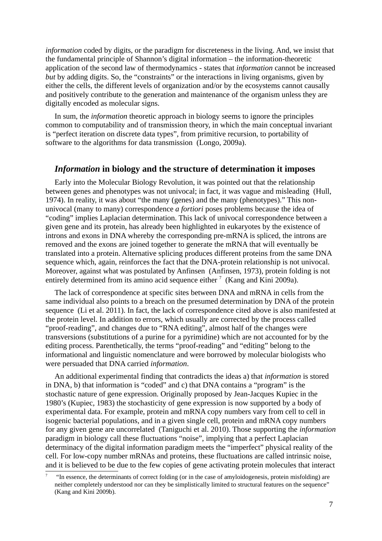*information* coded by digits, or the paradigm for discreteness in the living. And, we insist that the fundamental principle of Shannon's digital information – the information-theoretic application of the second law of thermodynamics - states that *information* cannot be increased *but* by adding digits. So, the "constraints" or the interactions in living organisms, given by either the cells, the different levels of organization and/or by the ecosystems cannot causally and positively contribute to the generation and maintenance of the organism unless they are digitally encoded as molecular signs.

In sum, the *information* theoretic approach in biology seems to ignore the principles common to computability and of transmission theory, in which the main conceptual invariant is "perfect iteration on discrete data types", from primitive recursion, to portability of software to the algorithms for data transmission (Longo, 2009a).

#### *Information* **in biology and the structure of determination it imposes**

Early into the Molecular Biology Revolution, it was pointed out that the relationship between genes and phenotypes was not univocal; in fact, it was vague and misleading (Hull, 1974). In reality, it was about "the many (genes) and the many (phenotypes)." This nonunivocal (many to many) correspondence *a fortiori* poses problems because the idea of "coding" implies Laplacian determination. This lack of univocal correspondence between a given gene and its protein, has already been highlighted in eukaryotes by the existence of introns and exons in DNA whereby the corresponding pre-mRNA is spliced, the introns are removed and the exons are joined together to generate the mRNA that will eventually be translated into a protein. Alternative splicing produces different proteins from the same DNA sequence which, again, reinforces the fact that the DNA-protein relationship is not univocal. Moreover, against what was postulated by Anfinsen (Anfinsen, 1973), protein folding is not entirely determined from its amino acid sequence either  $<sup>7</sup>$  $<sup>7</sup>$  $<sup>7</sup>$  (Kang and Kini 2009a).</sup>

The lack of correspondence at specific sites between DNA and mRNA in cells from the same individual also points to a breach on the presumed determination by DNA of the protein sequence (Li et al. 2011). In fact, the lack of correspondence cited above is also manifested at the protein level. In addition to errors, which usually are corrected by the process called "proof-reading", and changes due to "RNA editing", almost half of the changes were transversions (substitutions of a purine for a pyrimidine) which are not accounted for by the editing process. Parenthetically, the terms "proof-reading" and "editing" belong to the informational and linguistic nomenclature and were borrowed by molecular biologists who were persuaded that DNA carried *information*.

An additional experimental finding that contradicts the ideas a) that *information* is stored in DNA, b) that information is "coded" and c) that DNA contains a "program" is the stochastic nature of gene expression. Originally proposed by Jean-Jacques Kupiec in the 1980's (Kupiec, 1983) the stochasticity of gene expression is now supported by a body of experimental data. For example, protein and mRNA copy numbers vary from cell to cell in isogenic bacterial populations, and in a given single cell, protein and mRNA copy numbers for any given gene are uncorrelated (Taniguchi et al. 2010). Those supporting the *information* paradigm in biology call these fluctuations "noise", implying that a perfect Laplacian determinacy of the digital information paradigm meets the "imperfect" physical reality of the cell. For low-copy number mRNAs and proteins, these fluctuations are called intrinsic noise, and it is believed to be due to the few copies of gene activating protein molecules that interact

<span id="page-7-0"></span><sup>7</sup> "In essence, the determinants of correct folding (or in the case of amyloidogenesis, protein misfolding) are neither completely understood nor can they be simplistically limited to structural features on the sequence" (Kang and Kini 2009b).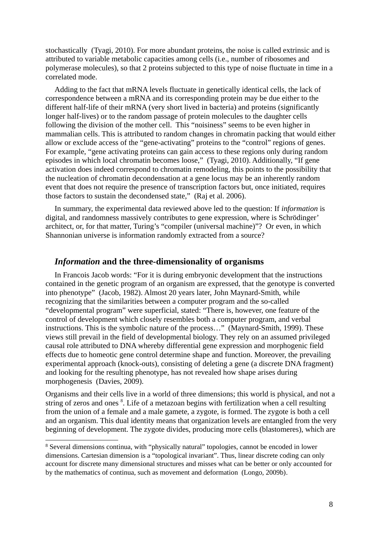stochastically (Tyagi, 2010). For more abundant proteins, the noise is called extrinsic and is attributed to variable metabolic capacities among cells (i.e., number of ribosomes and polymerase molecules), so that 2 proteins subjected to this type of noise fluctuate in time in a correlated mode.

Adding to the fact that mRNA levels fluctuate in genetically identical cells, the lack of correspondence between a mRNA and its corresponding protein may be due either to the different half-life of their mRNA (very short lived in bacteria) and proteins (significantly longer half-lives) or to the random passage of protein molecules to the daughter cells following the division of the mother cell. This "noisiness" seems to be even higher in mammalian cells. This is attributed to random changes in chromatin packing that would either allow or exclude access of the "gene-activating" proteins to the "control" regions of genes. For example, "gene activating proteins can gain access to these regions only during random episodes in which local chromatin becomes loose," (Tyagi, 2010). Additionally, "If gene activation does indeed correspond to chromatin remodeling, this points to the possibility that the nucleation of chromatin decondensation at a gene locus may be an inherently random event that does not require the presence of transcription factors but, once initiated, requires those factors to sustain the decondensed state," (Raj et al. 2006).

In summary, the experimental data reviewed above led to the question: If *information* is digital, and randomness massively contributes to gene expression, where is Schrödinger' architect, or, for that matter, Turing's "compiler (universal machine)"? Or even, in which Shannonian universe is information randomly extracted from a source?

#### *Information* **and the three-dimensionality of organisms**

In Francois Jacob words: "For it is during embryonic development that the instructions contained in the genetic program of an organism are expressed, that the genotype is converted into phenotype" (Jacob, 1982). Almost 20 years later, John Maynard-Smith, while recognizing that the similarities between a computer program and the so-called "developmental program" were superficial, stated: "There is, however, one feature of the control of development which closely resembles both a computer program, and verbal instructions. This is the symbolic nature of the process…" (Maynard-Smith, 1999). These views still prevail in the field of developmental biology. They rely on an assumed privileged causal role attributed to DNA whereby differential gene expression and morphogenic field effects due to homeotic gene control determine shape and function. Moreover, the prevailing experimental approach (knock-outs), consisting of deleting a gene (a discrete DNA fragment) and looking for the resulting phenotype, has not revealed how shape arises during morphogenesis (Davies, 2009).

Organisms and their cells live in a world of three dimensions; this world is physical, and not a string of zeros and ones <sup>[8](#page-8-0)</sup>. Life of a metazoan begins with fertilization when a cell resulting from the union of a female and a male gamete, a zygote, is formed. The zygote is both a cell and an organism. This dual identity means that organization levels are entangled from the very beginning of development. The zygote divides, producing more cells (blastomeres), which are

<span id="page-8-0"></span><sup>&</sup>lt;sup>8</sup> Several dimensions continua, with "physically natural" topologies, cannot be encoded in lower dimensions. Cartesian dimension is a "topological invariant". Thus, linear discrete coding can only account for discrete many dimensional structures and misses what can be better or only accounted for by the mathematics of continua, such as movement and deformation (Longo, 2009b).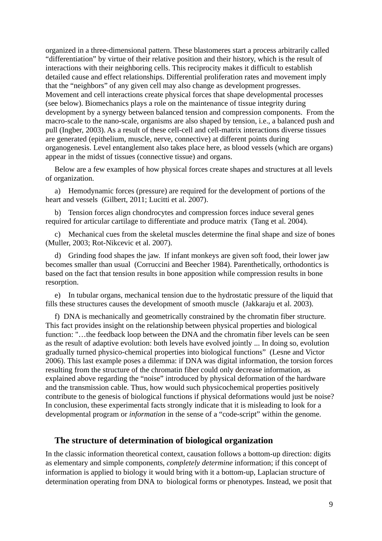organized in a three-dimensional pattern. These blastomeres start a process arbitrarily called "differentiation" by virtue of their relative position and their history, which is the result of interactions with their neighboring cells. This reciprocity makes it difficult to establish detailed cause and effect relationships. Differential proliferation rates and movement imply that the "neighbors" of any given cell may also change as development progresses. Movement and cell interactions create physical forces that shape developmental processes (see below). Biomechanics plays a role on the maintenance of tissue integrity during development by a synergy between balanced tension and compression components. From the macro-scale to the nano-scale, organisms are also shaped by tension, i.e., a balanced push and pull (Ingber, 2003). As a result of these cell-cell and cell-matrix interactions diverse tissues are generated (epithelium, muscle, nerve, connective) at different points during organogenesis. Level entanglement also takes place here, as blood vessels (which are organs) appear in the midst of tissues (connective tissue) and organs.

Below are a few examples of how physical forces create shapes and structures at all levels of organization.

a) Hemodynamic forces (pressure) are required for the development of portions of the heart and vessels (Gilbert, 2011; Lucitti et al. 2007).

b) Tension forces align chondrocytes and compression forces induce several genes required for articular cartilage to differentiate and produce matrix (Tang et al. 2004).

c) Mechanical cues from the skeletal muscles determine the final shape and size of bones (Muller, 2003; Rot-Nikcevic et al. 2007).

d) Grinding food shapes the jaw. If infant monkeys are given soft food, their lower jaw becomes smaller than usual (Corruccini and Beecher 1984). Parenthetically, orthodontics is based on the fact that tension results in bone apposition while compression results in bone resorption.

e) In tubular organs, mechanical tension due to the hydrostatic pressure of the liquid that fills these structures causes the development of smooth muscle (Jakkaraju et al. 2003).

f) DNA is mechanically and geometrically constrained by the chromatin fiber structure. This fact provides insight on the relationship between physical properties and biological function: "…the feedback loop between the DNA and the chromatin fiber levels can be seen as the result of adaptive evolution: both levels have evolved jointly ... In doing so, evolution gradually turned physico-chemical properties into biological functions" (Lesne and Victor 2006). This last example poses a dilemma: if DNA was digital information, the torsion forces resulting from the structure of the chromatin fiber could only decrease information, as explained above regarding the "noise" introduced by physical deformation of the hardware and the transmission cable. Thus, how would such physicochemical properties positively contribute to the genesis of biological functions if physical deformations would just be noise? In conclusion, these experimental facts strongly indicate that it is misleading to look for a developmental program or *information* in the sense of a "code-script" within the genome.

#### **The structure of determination of biological organization**

In the classic information theoretical context, causation follows a bottom-up direction: digits as elementary and simple components, *completely determine* information; if this concept of information is applied to biology it would bring with it a bottom-up, Laplacian structure of determination operating from DNA to biological forms or phenotypes. Instead, we posit that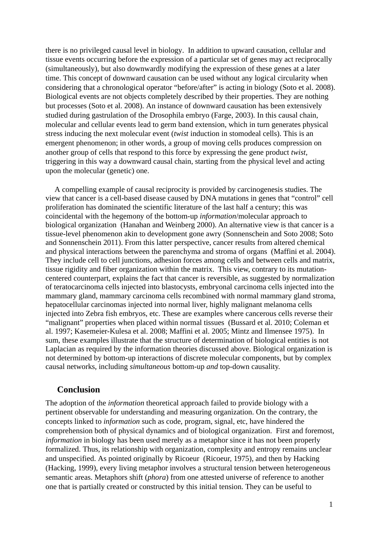there is no privileged causal level in biology. In addition to upward causation, cellular and tissue events occurring before the expression of a particular set of genes may act reciprocally (simultaneously), but also downwardly modifying the expression of these genes at a later time. This concept of downward causation can be used without any logical circularity when considering that a chronological operator "before/after" is acting in biology (Soto et al. 2008). Biological events are not objects completely described by their properties. They are nothing but processes (Soto et al. 2008). An instance of downward causation has been extensively studied during gastrulation of the Drosophila embryo (Farge, 2003). In this causal chain, molecular and cellular events lead to germ band extension, which in turn generates physical stress inducing the next molecular event (*twist* induction in stomodeal cells). This is an emergent phenomenon; in other words, a group of moving cells produces compression on another group of cells that respond to this force by expressing the gene product *twist*, triggering in this way a downward causal chain, starting from the physical level and acting upon the molecular (genetic) one.

A compelling example of causal reciprocity is provided by carcinogenesis studies. The view that cancer is a cell-based disease caused by DNA mutations in genes that "control" cell proliferation has dominated the scientific literature of the last half a century; this was coincidental with the hegemony of the bottom-up *information*/molecular approach to biological organization (Hanahan and Weinberg 2000). An alternative view is that cancer is a tissue-level phenomenon akin to development gone awry (Sonnenschein and Soto 2008; Soto and Sonnenschein 2011). From this latter perspective, cancer results from altered chemical and physical interactions between the parenchyma and stroma of organs (Maffini et al. 2004). They include cell to cell junctions, adhesion forces among cells and between cells and matrix, tissue rigidity and fiber organization within the matrix. This view, contrary to its mutationcentered counterpart, explains the fact that cancer is reversible, as suggested by normalization of teratocarcinoma cells injected into blastocysts, embryonal carcinoma cells injected into the mammary gland, mammary carcinoma cells recombined with normal mammary gland stroma, hepatocellular carcinomas injected into normal liver, highly malignant melanoma cells injected into Zebra fish embryos, etc. These are examples where cancerous cells reverse their "malignant" properties when placed within normal tissues (Bussard et al. 2010; Coleman et al. 1997; Kasemeier-Kulesa et al. 2008; Maffini et al. 2005; Mintz and Ilmensee 1975). In sum, these examples illustrate that the structure of determination of biological entities is not Laplacian as required by the information theories discussed above. Biological organization is not determined by bottom-up interactions of discrete molecular components, but by complex causal networks, including *simultaneous* bottom-up *and* top-down causality.

#### **Conclusion**

The adoption of the *information* theoretical approach failed to provide biology with a pertinent observable for understanding and measuring organization. On the contrary, the concepts linked to *information* such as code, program, signal, etc, have hindered the comprehension both of physical dynamics and of biological organization. First and foremost, *information* in biology has been used merely as a metaphor since it has not been properly formalized. Thus, its relationship with organization, complexity and entropy remains unclear and unspecified. As pointed originally by Ricoeur (Ricoeur, 1975), and then by Hacking (Hacking, 1999), every living metaphor involves a structural tension between heterogeneous semantic areas. Metaphors shift (*phora*) from one attested universe of reference to another one that is partially created or constructed by this initial tension. They can be useful to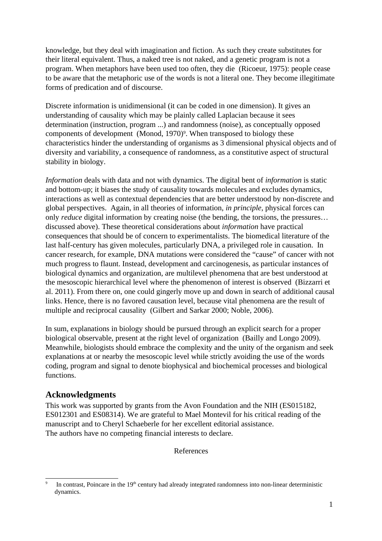knowledge, but they deal with imagination and fiction. As such they create substitutes for their literal equivalent. Thus, a naked tree is not naked, and a genetic program is not a program. When metaphors have been used too often, they die (Ricoeur, 1975): people cease to be aware that the metaphoric use of the words is not a literal one. They become illegitimate forms of predication and of discourse.

Discrete information is unidimensional (it can be coded in one dimension). It gives an understanding of causality which may be plainly called Laplacian because it sees determination (instruction, program ...) and randomness (noise), as conceptually opposed components of development (Monod, 1[9](#page-11-0)70)<sup>9</sup>. When transposed to biology these characteristics hinder the understanding of organisms as 3 dimensional physical objects and of diversity and variability, a consequence of randomness, as a constitutive aspect of structural stability in biology.

*Information* deals with data and not with dynamics. The digital bent of *information* is static and bottom-up; it biases the study of causality towards molecules and excludes dynamics, interactions as well as contextual dependencies that are better understood by non-discrete and global perspectives. Again, in all theories of information, *in principle*, physical forces can only *reduce* digital information by creating noise (the bending, the torsions, the pressures… discussed above). These theoretical considerations about *information* have practical consequences that should be of concern to experimentalists. The biomedical literature of the last half-century has given molecules, particularly DNA, a privileged role in causation. In cancer research, for example, DNA mutations were considered the "cause" of cancer with not much progress to flaunt. Instead, development and carcinogenesis, as particular instances of biological dynamics and organization, are multilevel phenomena that are best understood at the mesoscopic hierarchical level where the phenomenon of interest is observed (Bizzarri et al. 2011). From there on, one could gingerly move up and down in search of additional causal links. Hence, there is no favored causation level, because vital phenomena are the result of multiple and reciprocal causality (Gilbert and Sarkar 2000; Noble, 2006).

In sum, explanations in biology should be pursued through an explicit search for a proper biological observable, present at the right level of organization (Bailly and Longo 2009). Meanwhile, biologists should embrace the complexity and the unity of the organism and seek explanations at or nearby the mesoscopic level while strictly avoiding the use of the words coding, program and signal to denote biophysical and biochemical processes and biological functions.

#### **Acknowledgments**

This work was supported by grants from the Avon Foundation and the NIH (ES015182, ES012301 and ES08314). We are grateful to Mael Montevil for his critical reading of the manuscript and to Cheryl Schaeberle for her excellent editorial assistance. The authors have no competing financial interests to declare.

References

<span id="page-11-0"></span><sup>9</sup> In contrast, Poincare in the  $19<sup>th</sup>$  century had already integrated randomness into non-linear deterministic dynamics.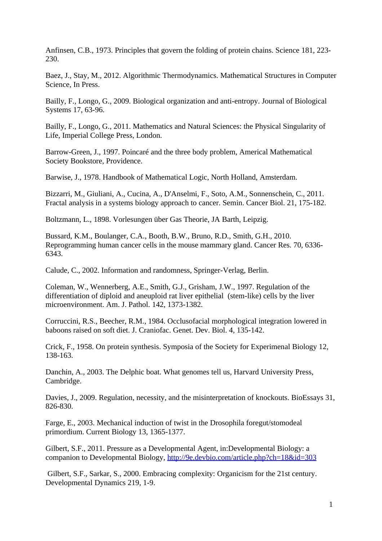Anfinsen, C.B., 1973. Principles that govern the folding of protein chains. Science 181, 223- 230.

Baez, J., Stay, M., 2012. Algorithmic Thermodynamics. Mathematical Structures in Computer Science, In Press.

Bailly, F., Longo, G., 2009. Biological organization and anti-entropy. Journal of Biological Systems 17, 63-96.

Bailly, F., Longo, G., 2011. Mathematics and Natural Sciences: the Physical Singularity of Life, Imperial College Press, London.

Barrow-Green, J., 1997. Poincaré and the three body problem, Americal Mathematical Society Bookstore, Providence.

Barwise, J., 1978. Handbook of Mathematical Logic, North Holland, Amsterdam.

Bizzarri, M., Giuliani, A., Cucina, A., D'Anselmi, F., Soto, A.M., Sonnenschein, C., 2011. Fractal analysis in a systems biology approach to cancer. Semin. Cancer Biol. 21, 175-182.

Boltzmann, L., 1898. Vorlesungen über Gas Theorie, JA Barth, Leipzig.

Bussard, K.M., Boulanger, C.A., Booth, B.W., Bruno, R.D., Smith, G.H., 2010. Reprogramming human cancer cells in the mouse mammary gland. Cancer Res. 70, 6336- 6343.

Calude, C., 2002. Information and randomness, Springer-Verlag, Berlin.

Coleman, W., Wennerberg, A.E., Smith, G.J., Grisham, J.W., 1997. Regulation of the differentiation of diploid and aneuploid rat liver epithelial (stem-like) cells by the liver microenvironment. Am. J. Pathol. 142, 1373-1382.

Corruccini, R.S., Beecher, R.M., 1984. Occlusofacial morphological integration lowered in baboons raised on soft diet. J. Craniofac. Genet. Dev. Biol. 4, 135-142.

Crick, F., 1958. On protein synthesis. Symposia of the Society for Experimenal Biology 12, 138-163.

Danchin, A., 2003. The Delphic boat. What genomes tell us, Harvard University Press, Cambridge.

Davies, J., 2009. Regulation, necessity, and the misinterpretation of knockouts. BioEssays 31, 826-830.

Farge, E., 2003. Mechanical induction of twist in the Drosophila foregut/stomodeal primordium. Current Biology 13, 1365-1377.

Gilbert, S.F., 2011. Pressure as a Developmental Agent, in:Developmental Biology: a companion to Developmental Biology, http://9e.devbio.com/article.php?ch=18&id=303

Gilbert, S.F., Sarkar, S., 2000. Embracing complexity: Organicism for the 21st century. Developmental Dynamics 219, 1-9.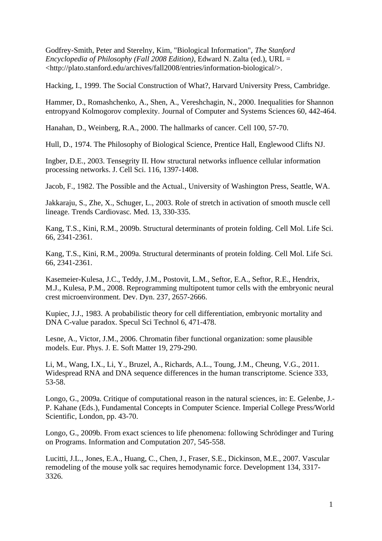Godfrey-Smith, Peter and Sterelny, Kim, "Biological Information", *The Stanford Encyclopedia of Philosophy (Fall 2008 Edition)*, Edward N. Zalta (ed.), URL = <http://plato.stanford.edu/archives/fall2008/entries/information-biological/>.

Hacking, I., 1999. The Social Construction of What?, Harvard University Press, Cambridge.

Hammer, D., Romashchenko, A., Shen, A., Vereshchagin, N., 2000. Inequalities for Shannon entropyand Kolmogorov complexity. Journal of Computer and Systems Sciences 60, 442-464.

Hanahan, D., Weinberg, R.A., 2000. The hallmarks of cancer. Cell 100, 57-70.

Hull, D., 1974. The Philosophy of Biological Science, Prentice Hall, Englewood Clifts NJ.

Ingber, D.E., 2003. Tensegrity II. How structural networks influence cellular information processing networks. J. Cell Sci. 116, 1397-1408.

Jacob, F., 1982. The Possible and the Actual., University of Washington Press, Seattle, WA.

Jakkaraju, S., Zhe, X., Schuger, L., 2003. Role of stretch in activation of smooth muscle cell lineage. Trends Cardiovasc. Med. 13, 330-335.

Kang, T.S., Kini, R.M., 2009b. Structural determinants of protein folding. Cell Mol. Life Sci. 66, 2341-2361.

Kang, T.S., Kini, R.M., 2009a. Structural determinants of protein folding. Cell Mol. Life Sci. 66, 2341-2361.

Kasemeier-Kulesa, J.C., Teddy, J.M., Postovit, L.M., Seftor, E.A., Seftor, R.E., Hendrix, M.J., Kulesa, P.M., 2008. Reprogramming multipotent tumor cells with the embryonic neural crest microenvironment. Dev. Dyn. 237, 2657-2666.

Kupiec, J.J., 1983. A probabilistic theory for cell differentiation, embryonic mortality and DNA C-value paradox. Specul Sci Technol 6, 471-478.

Lesne, A., Victor, J.M., 2006. Chromatin fiber functional organization: some plausible models. Eur. Phys. J. E. Soft Matter 19, 279-290.

Li, M., Wang, I.X., Li, Y., Bruzel, A., Richards, A.L., Toung, J.M., Cheung, V.G., 2011. Widespread RNA and DNA sequence differences in the human transcriptome. Science 333, 53-58.

Longo, G., 2009a. Critique of computational reason in the natural sciences, in: E. Gelenbe, J.- P. Kahane (Eds.), Fundamental Concepts in Computer Science. Imperial College Press/World Scientific, London, pp. 43-70.

Longo, G., 2009b. From exact sciences to life phenomena: following Schrödinger and Turing on Programs. Information and Computation 207, 545-558.

Lucitti, J.L., Jones, E.A., Huang, C., Chen, J., Fraser, S.E., Dickinson, M.E., 2007. Vascular remodeling of the mouse yolk sac requires hemodynamic force. Development 134, 3317- 3326.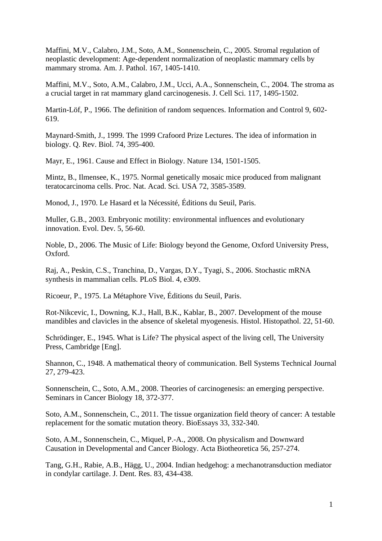Maffini, M.V., Calabro, J.M., Soto, A.M., Sonnenschein, C., 2005. Stromal regulation of neoplastic development: Age-dependent normalization of neoplastic mammary cells by mammary stroma. Am. J. Pathol. 167, 1405-1410.

Maffini, M.V., Soto, A.M., Calabro, J.M., Ucci, A.A., Sonnenschein, C., 2004. The stroma as a crucial target in rat mammary gland carcinogenesis. J. Cell Sci. 117, 1495-1502.

Martin-Löf, P., 1966. The definition of random sequences. Information and Control 9, 602- 619.

Maynard-Smith, J., 1999. The 1999 Crafoord Prize Lectures. The idea of information in biology. Q. Rev. Biol. 74, 395-400.

Mayr, E., 1961. Cause and Effect in Biology. Nature 134, 1501-1505.

Mintz, B., Ilmensee, K., 1975. Normal genetically mosaic mice produced from malignant teratocarcinoma cells. Proc. Nat. Acad. Sci. USA 72, 3585-3589.

Monod, J., 1970. Le Hasard et la Nécessité, Éditions du Seuil, Paris.

Muller, G.B., 2003. Embryonic motility: environmental influences and evolutionary innovation. Evol. Dev. 5, 56-60.

Noble, D., 2006. The Music of Life: Biology beyond the Genome, Oxford University Press, Oxford.

Raj, A., Peskin, C.S., Tranchina, D., Vargas, D.Y., Tyagi, S., 2006. Stochastic mRNA synthesis in mammalian cells. PLoS Biol. 4, e309.

Ricoeur, P., 1975. La Métaphore Vive, Éditions du Seuil, Paris.

Rot-Nikcevic, I., Downing, K.J., Hall, B.K., Kablar, B., 2007. Development of the mouse mandibles and clavicles in the absence of skeletal myogenesis. Histol. Histopathol. 22, 51-60.

Schrödinger, E., 1945. What is Life? The physical aspect of the living cell, The University Press, Cambridge [Eng].

Shannon, C., 1948. A mathematical theory of communication. Bell Systems Technical Journal 27, 279-423.

Sonnenschein, C., Soto, A.M., 2008. Theories of carcinogenesis: an emerging perspective. Seminars in Cancer Biology 18, 372-377.

Soto, A.M., Sonnenschein, C., 2011. The tissue organization field theory of cancer: A testable replacement for the somatic mutation theory. BioEssays 33, 332-340.

Soto, A.M., Sonnenschein, C., Miquel, P.-A., 2008. On physicalism and Downward Causation in Developmental and Cancer Biology. Acta Biotheoretica 56, 257-274.

Tang, G.H., Rabie, A.B., Hägg, U., 2004. Indian hedgehog: a mechanotransduction mediator in condylar cartilage. J. Dent. Res. 83, 434-438.